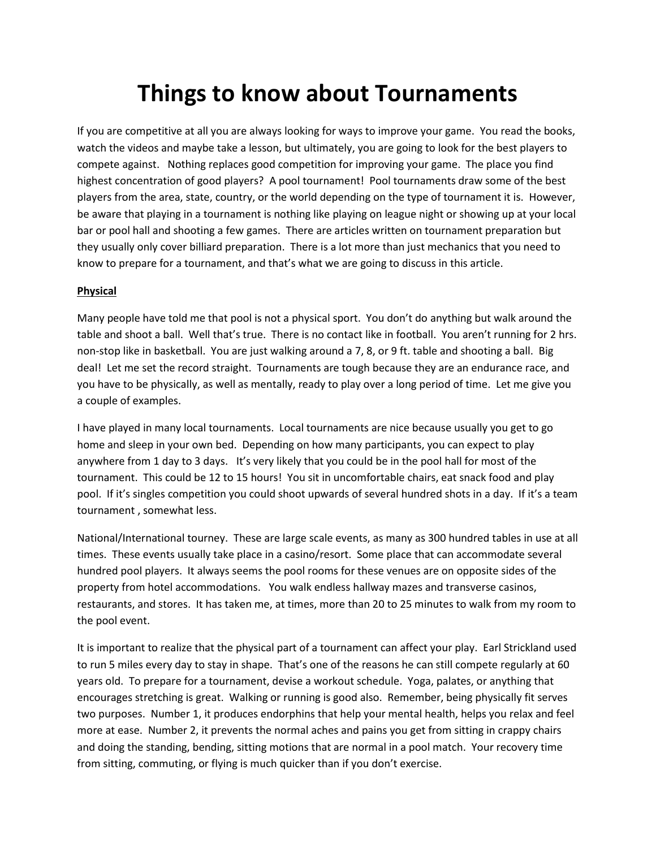# **Things to know about Tournaments**

If you are competitive at all you are always looking for ways to improve your game. You read the books, watch the videos and maybe take a lesson, but ultimately, you are going to look for the best players to compete against. Nothing replaces good competition for improving your game. The place you find highest concentration of good players? A pool tournament! Pool tournaments draw some of the best players from the area, state, country, or the world depending on the type of tournament it is. However, be aware that playing in a tournament is nothing like playing on league night or showing up at your local bar or pool hall and shooting a few games. There are articles written on tournament preparation but they usually only cover billiard preparation. There is a lot more than just mechanics that you need to know to prepare for a tournament, and that's what we are going to discuss in this article.

#### **Physical**

Many people have told me that pool is not a physical sport. You don't do anything but walk around the table and shoot a ball. Well that's true. There is no contact like in football. You aren't running for 2 hrs. non-stop like in basketball. You are just walking around a 7, 8, or 9 ft. table and shooting a ball. Big deal! Let me set the record straight. Tournaments are tough because they are an endurance race, and you have to be physically, as well as mentally, ready to play over a long period of time. Let me give you a couple of examples.

I have played in many local tournaments. Local tournaments are nice because usually you get to go home and sleep in your own bed. Depending on how many participants, you can expect to play anywhere from 1 day to 3 days. It's very likely that you could be in the pool hall for most of the tournament. This could be 12 to 15 hours! You sit in uncomfortable chairs, eat snack food and play pool. If it's singles competition you could shoot upwards of several hundred shots in a day. If it's a team tournament , somewhat less.

National/International tourney. These are large scale events, as many as 300 hundred tables in use at all times. These events usually take place in a casino/resort. Some place that can accommodate several hundred pool players. It always seems the pool rooms for these venues are on opposite sides of the property from hotel accommodations. You walk endless hallway mazes and transverse casinos, restaurants, and stores. It has taken me, at times, more than 20 to 25 minutes to walk from my room to the pool event.

It is important to realize that the physical part of a tournament can affect your play. Earl Strickland used to run 5 miles every day to stay in shape. That's one of the reasons he can still compete regularly at 60 years old. To prepare for a tournament, devise a workout schedule. Yoga, palates, or anything that encourages stretching is great. Walking or running is good also. Remember, being physically fit serves two purposes. Number 1, it produces endorphins that help your mental health, helps you relax and feel more at ease. Number 2, it prevents the normal aches and pains you get from sitting in crappy chairs and doing the standing, bending, sitting motions that are normal in a pool match. Your recovery time from sitting, commuting, or flying is much quicker than if you don't exercise.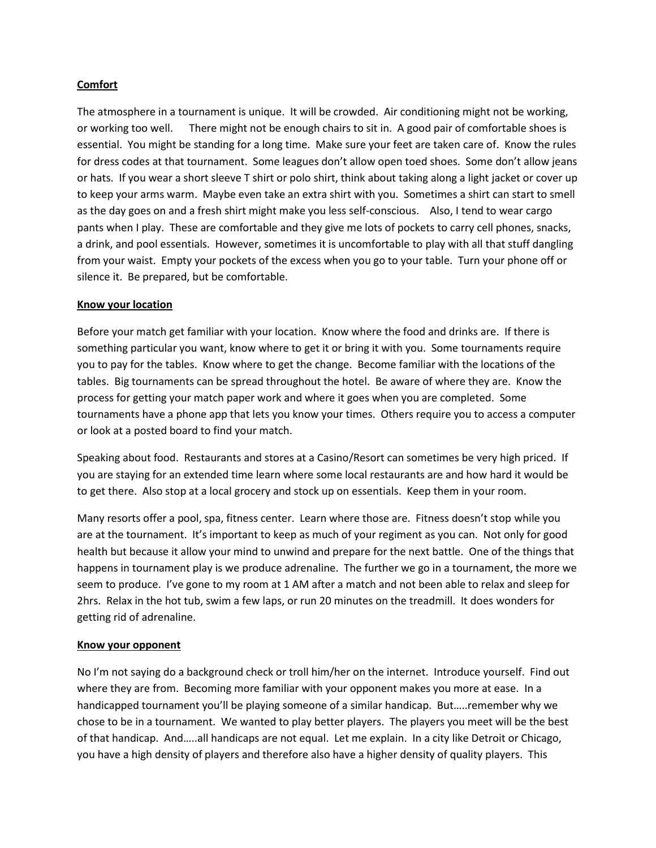## **Comfort**

The atmosphere in a tournament is unique. It will be crowded. Air conditioning might not be working, or working too well. There might not be enough chairs to sit in. A good pair of comfortable shoes is essential. You might be standing for a long time. Make sure your feet are taken care of. Know the rules for dress codes at that tournament. Some leagues don't allow open toed shoes. Some don't allow jeans or hats. If you wear a short sleeve T shirt or polo shirt, think about taking along a light jacket or cover up to keep your arms warm. Maybe even take an extra shirt with you. Sometimes a shirt can start to smell as the day goes on and a fresh shirt might make you less self-conscious. Also, I tend to wear cargo pants when I play. These are comfortable and they give me lots of pockets to carry cell phones, snacks, a drink, and pool essentials. However, sometimes it is uncomfortable to play with all that stuff dangling from your waist. Empty your pockets of the excess when you go to your table. Turn your phone off or silence it. Be prepared, but be comfortable.

#### **Know your location**

Before your match get familiar with your location. Know where the food and drinks are. If there is something particular you want, know where to get it or bring it with you. Some tournaments require you to pay for the tables. Know where to get the change. Become familiar with the locations of the tables. Big tournaments can be spread throughout the hotel. Be aware of where they are. Know the process for getting your match paper work and where it goes when you are completed. Some tournaments have a phone app that lets you know your times. Others require you to access a computer or look at a posted board to find your match.

Speaking about food. Restaurants and stores at a Casino/Resort can sometimes be very high priced. If you are staying for an extended time learn where some local restaurants are and how hard it would be to get there. Also stop at a local grocery and stock up on essentials. Keep them in your room.

Many resorts offer a pool, spa, fitness center. Learn where those are. Fitness doesn't stop while you are at the tournament. It's important to keep as much of your regiment as you can. Not only for good health but because it allow your mind to unwind and prepare for the next battle. One of the things that happens in tournament play is we produce adrenaline. The further we go in a tournament, the more we seem to produce. I've gone to my room at 1 AM after a match and not been able to relax and sleep for 2hrs. Relax in the hot tub, swim a few laps, or run 20 minutes on the treadmill. It does wonders for getting rid of adrenaline.

## **Know your opponent**

No I'm not saying do a background check or troll him/her on the internet. Introduce yourself. Find out where they are from. Becoming more familiar with your opponent makes you more at ease. In a handicapped tournament you'll be playing someone of a similar handicap. But…..remember why we chose to be in a tournament. We wanted to play better players. The players you meet will be the best of that handicap. And…..all handicaps are not equal. Let me explain. In a city like Detroit or Chicago, you have a high density of players and therefore also have a higher density of quality players. This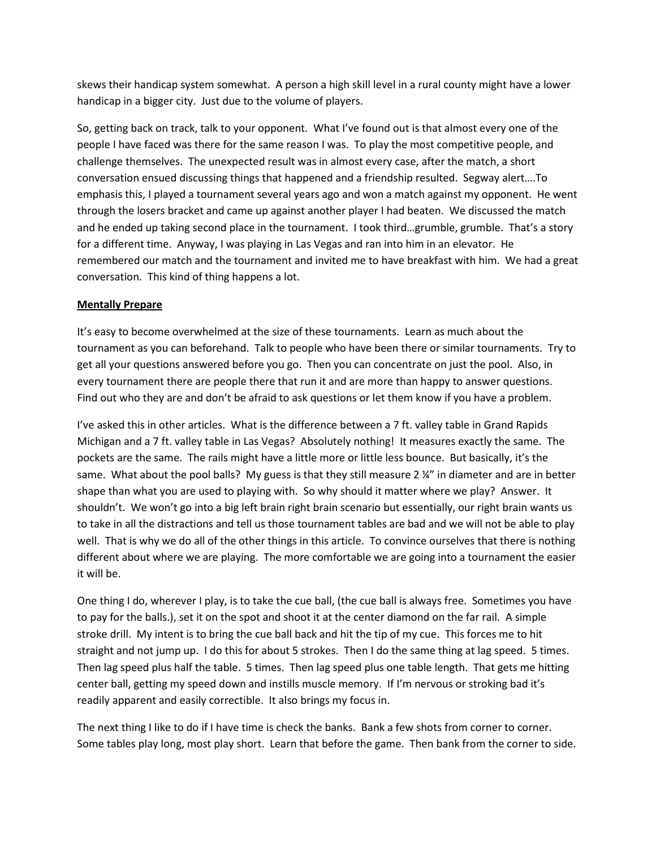skews their handicap system somewhat. A person a high skill level in a rural county might have a lower handicap in a bigger city. Just due to the volume of players.

So, getting back on track, talk to your opponent. What I've found out is that almost every one of the people I have faced was there for the same reason I was. To play the most competitive people, and challenge themselves. The unexpected result was in almost every case, after the match, a short conversation ensued discussing things that happened and a friendship resulted. Segway alert….To emphasis this, I played a tournament several years ago and won a match against my opponent. He went through the losers bracket and came up against another player I had beaten. We discussed the match and he ended up taking second place in the tournament. I took third…grumble, grumble. That's a story for a different time. Anyway, I was playing in Las Vegas and ran into him in an elevator. He remembered our match and the tournament and invited me to have breakfast with him. We had a great conversation. This kind of thing happens a lot.

## **Mentally Prepare**

It's easy to become overwhelmed at the size of these tournaments. Learn as much about the tournament as you can beforehand. Talk to people who have been there or similar tournaments. Try to get all your questions answered before you go. Then you can concentrate on just the pool. Also, in every tournament there are people there that run it and are more than happy to answer questions. Find out who they are and don't be afraid to ask questions or let them know if you have a problem.

I've asked this in other articles. What is the difference between a 7 ft. valley table in Grand Rapids Michigan and a 7 ft. valley table in Las Vegas? Absolutely nothing! It measures exactly the same. The pockets are the same. The rails might have a little more or little less bounce. But basically, it's the same. What about the pool balls? My guess is that they still measure 2  $\frac{1}{2}$  in diameter and are in better shape than what you are used to playing with. So why should it matter where we play? Answer. It shouldn't. We won't go into a big left brain right brain scenario but essentially, our right brain wants us to take in all the distractions and tell us those tournament tables are bad and we will not be able to play well. That is why we do all of the other things in this article. To convince ourselves that there is nothing different about where we are playing. The more comfortable we are going into a tournament the easier it will be.

One thing I do, wherever I play, is to take the cue ball, (the cue ball is always free. Sometimes you have to pay for the balls.), set it on the spot and shoot it at the center diamond on the far rail. A simple stroke drill. My intent is to bring the cue ball back and hit the tip of my cue. This forces me to hit straight and not jump up. I do this for about 5 strokes. Then I do the same thing at lag speed. 5 times. Then lag speed plus half the table. 5 times. Then lag speed plus one table length. That gets me hitting center ball, getting my speed down and instills muscle memory. If I'm nervous or stroking bad it's readily apparent and easily correctible. It also brings my focus in.

The next thing I like to do if I have time is check the banks. Bank a few shots from corner to corner. Some tables play long, most play short. Learn that before the game. Then bank from the corner to side.